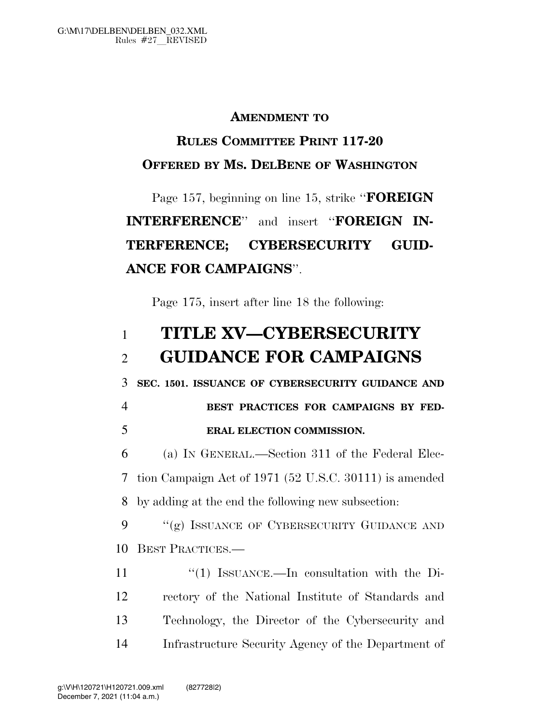#### **AMENDMENT TO**

### **RULES COMMITTEE PRINT 117-20 OFFERED BY MS. DELBENE OF WASHINGTON**

# Page 157, beginning on line 15, strike ''**FOREIGN INTERFERENCE**'' and insert ''**FOREIGN IN-TERFERENCE; CYBERSECURITY GUID-ANCE FOR CAMPAIGNS**''.

Page 175, insert after line 18 the following:

## 1 **TITLE XV—CYBERSECURITY**  2 **GUIDANCE FOR CAMPAIGNS**

3 **SEC. 1501. ISSUANCE OF CYBERSECURITY GUIDANCE AND** 

## 4 **BEST PRACTICES FOR CAMPAIGNS BY FED-**5 **ERAL ELECTION COMMISSION.**

6 (a) IN GENERAL.—Section 311 of the Federal Elec-7 tion Campaign Act of 1971 (52 U.S.C. 30111) is amended 8 by adding at the end the following new subsection:

9 "(g) ISSUANCE OF CYBERSECURITY GUIDANCE AND 10 BEST PRACTICES.—

11 ''(1) ISSUANCE.—In consultation with the Di- rectory of the National Institute of Standards and Technology, the Director of the Cybersecurity and Infrastructure Security Agency of the Department of